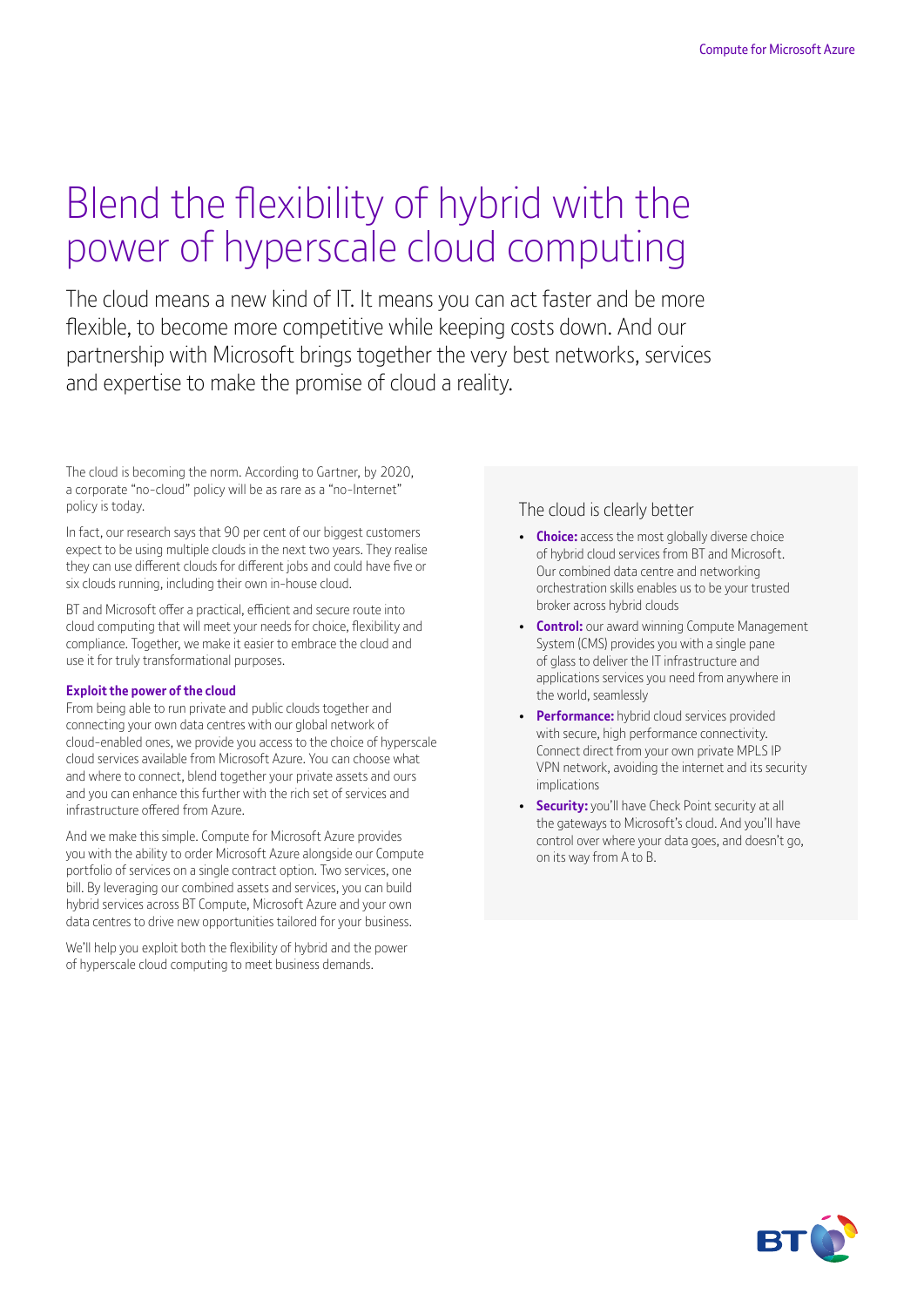# Blend the flexibility of hybrid with the power of hyperscale cloud computing

The cloud means a new kind of IT. It means you can act faster and be more flexible, to become more competitive while keeping costs down. And our partnership with Microsoft brings together the very best networks, services and expertise to make the promise of cloud a reality.

The cloud is becoming the norm. According to Gartner, by 2020, a corporate "no-cloud" policy will be as rare as a "no-Internet" policy is today.

In fact, our research says that 90 per cent of our biggest customers expect to be using multiple clouds in the next two years. They realise they can use different clouds for different jobs and could have five or six clouds running, including their own in-house cloud.

BT and Microsoft offer a practical, efficient and secure route into cloud computing that will meet your needs for choice, flexibility and compliance. Together, we make it easier to embrace the cloud and use it for truly transformational purposes.

#### **Exploit the power of the cloud**

From being able to run private and public clouds together and connecting your own data centres with our global network of cloud-enabled ones, we provide you access to the choice of hyperscale cloud services available from Microsoft Azure. You can choose what and where to connect, blend together your private assets and ours and you can enhance this further with the rich set of services and infrastructure offered from Azure.

And we make this simple. Compute for Microsoft Azure provides you with the ability to order Microsoft Azure alongside our Compute portfolio of services on a single contract option. Two services, one bill. By leveraging our combined assets and services, you can build hybrid services across BT Compute, Microsoft Azure and your own data centres to drive new opportunities tailored for your business.

We'll help you exploit both the flexibility of hybrid and the power of hyperscale cloud computing to meet business demands.

### The cloud is clearly better

- **Choice:** access the most globally diverse choice of hybrid cloud services from BT and Microsoft. Our combined data centre and networking orchestration skills enables us to be your trusted broker across hybrid clouds
- **Control:** our award winning Compute Management System (CMS) provides you with a single pane of glass to deliver the IT infrastructure and applications services you need from anywhere in the world, seamlessly
- **Performance:** hybrid cloud services provided with secure, high performance connectivity. Connect direct from your own private MPLS IP VPN network, avoiding the internet and its security implications
- **Security:** you'll have Check Point security at all the gateways to Microsoft's cloud. And you'll have control over where your data goes, and doesn't go, on its way from A to B.